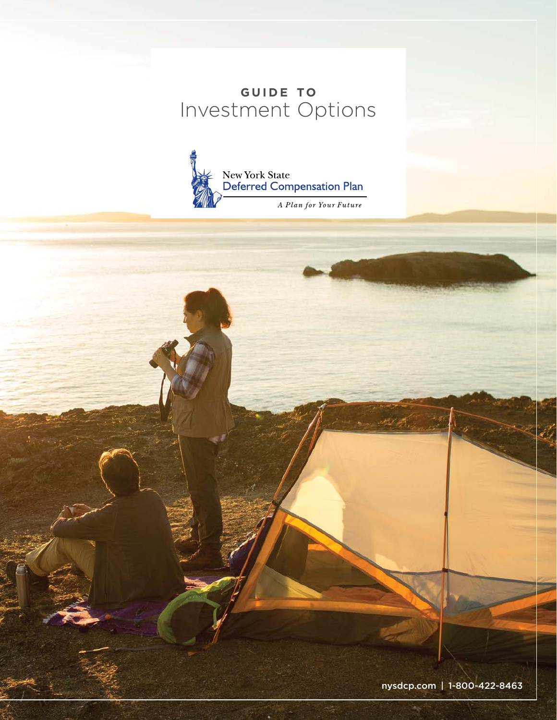## GUIDE TO Investment Options



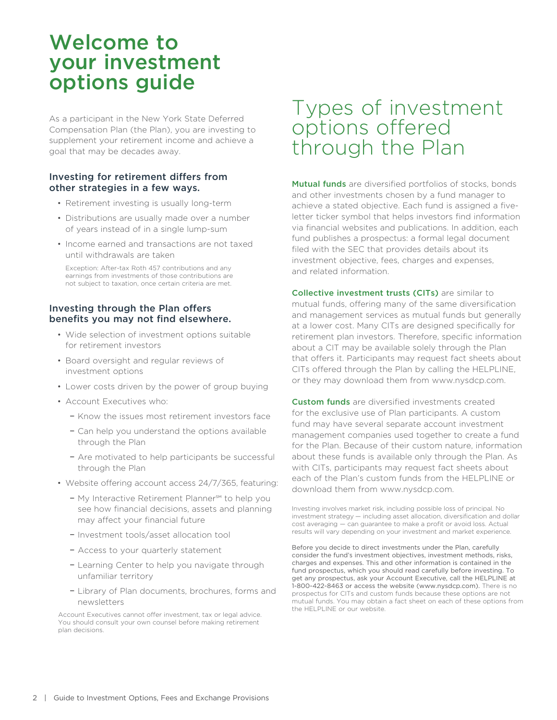# Welcome to your investment options guide

As a participant in the New York State Deferred Compensation Plan (the Plan), you are investing to supplement your retirement income and achieve a goal that may be decades away.

## Investing for retirement differs from other strategies in a few ways.

- Retirement investing is usually long-term
- Distributions are usually made over a number of years instead of in a single lump-sum
- Income earned and transactions are not taxed until withdrawals are taken

Exception: After-tax Roth 457 contributions and any earnings from investments of those contributions are not subject to taxation, once certain criteria are met.

## Investing through the Plan offers benefits you may not find elsewhere.

- Wide selection of investment options suitable for retirement investors
- Board oversight and regular reviews of investment options
- Lower costs driven by the power of group buying
- Account Executives who:
	- Know the issues most retirement investors face
	- Can help you understand the options available through the Plan
	- Are motivated to help participants be successful through the Plan
- Website offering account access 24/7/365, featuring:
	- My Interactive Retirement Planner℠ to help you see how financial decisions, assets and planning may affect your financial future
	- Investment tools/asset allocation tool
	- Access to your quarterly statement
	- Learning Center to help you navigate through unfamiliar territory
	- Library of Plan documents, brochures, forms and newsletters

 Account Executives cannot offer investment, tax or legal advice. You should consult your own counsel before making retirement plan decisions.

# Types of investment options offered through the Plan

Mutual funds are diversified portfolios of stocks, bonds and other investments chosen by a fund manager to achieve a stated objective. Each fund is assigned a fiveletter ticker symbol that helps investors find information via financial websites and publications. In addition, each fund publishes a prospectus: a formal legal document filed with the SEC that provides details about its investment objective, fees, charges and expenses, and related information.

Collective investment trusts (CITs) are similar to mutual funds, offering many of the same diversification and management services as mutual funds but generally at a lower cost. Many CITs are designed specifically for retirement plan investors. Therefore, specific information about a CIT may be available solely through the Plan that offers it. Participants may request fact sheets about CITs offered through the Plan by calling the HELPLINE, or they may download them from www.nysdcp.com.

Custom funds are diversified investments created for the exclusive use of Plan participants. A custom fund may have several separate account investment management companies used together to create a fund for the Plan. Because of their custom nature, information about these funds is available only through the Plan. As with CITs, participants may request fact sheets about each of the Plan's custom funds from the HELPLINE or download them from www.nysdcp.com.

Investing involves market risk, including possible loss of principal. No investment strategy — including asset allocation, diversification and dollar cost averaging — can guarantee to make a profit or avoid loss. Actual results will vary depending on your investment and market experience.

Before you decide to direct investments under the Plan, carefully consider the fund's investment objectives, investment methods, risks, charges and expenses. This and other information is contained in the fund prospectus, which you should read carefully before investing. To get any prospectus, ask your Account Executive, call the HELPLINE at 1-800-422-8463 or access the website (www.nysdcp.com). There is no prospectus for CITs and custom funds because these options are not mutual funds. You may obtain a fact sheet on each of these options from the HELPLINE or our website.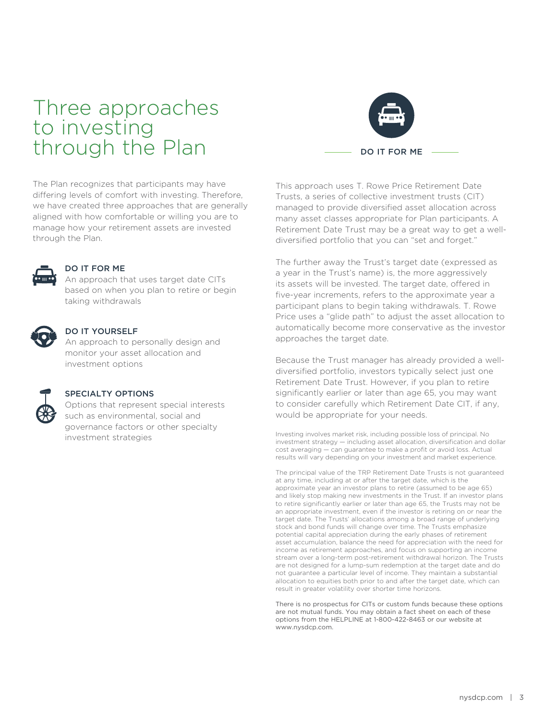# Three approaches to investing through the Plan

The Plan recognizes that participants may have differing levels of comfort with investing. Therefore, we have created three approaches that are generally aligned with how comfortable or willing you are to manage how your retirement assets are invested through the Plan.



## DO IT FOR ME

An approach that uses target date CITs based on when you plan to retire or begin taking withdrawals



### DO IT YOURSELF

An approach to personally design and monitor your asset allocation and investment options



### SPECIALTY OPTIONS

Options that represent special interests such as environmental, social and governance factors or other specialty investment strategies



This approach uses T. Rowe Price Retirement Date Trusts, a series of collective investment trusts (CIT) managed to provide diversified asset allocation across many asset classes appropriate for Plan participants. A Retirement Date Trust may be a great way to get a welldiversified portfolio that you can "set and forget."

The further away the Trust's target date (expressed as a year in the Trust's name) is, the more aggressively its assets will be invested. The target date, offered in five-year increments, refers to the approximate year a participant plans to begin taking withdrawals. T. Rowe Price uses a "glide path" to adjust the asset allocation to automatically become more conservative as the investor approaches the target date.

Because the Trust manager has already provided a welldiversified portfolio, investors typically select just one Retirement Date Trust. However, if you plan to retire significantly earlier or later than age 65, you may want to consider carefully which Retirement Date CIT, if any, would be appropriate for your needs.

Investing involves market risk, including possible loss of principal. No investment strategy — including asset allocation, diversification and dollar cost averaging — can guarantee to make a profit or avoid loss. Actual results will vary depending on your investment and market experience.

The principal value of the TRP Retirement Date Trusts is not guaranteed at any time, including at or after the target date, which is the approximate year an investor plans to retire (assumed to be age 65) and likely stop making new investments in the Trust. If an investor plans to retire significantly earlier or later than age 65, the Trusts may not be an appropriate investment, even if the investor is retiring on or near the target date. The Trusts' allocations among a broad range of underlying stock and bond funds will change over time. The Trusts emphasize potential capital appreciation during the early phases of retirement asset accumulation, balance the need for appreciation with the need for income as retirement approaches, and focus on supporting an income stream over a long-term post-retirement withdrawal horizon. The Trusts are not designed for a lump-sum redemption at the target date and do not guarantee a particular level of income. They maintain a substantial allocation to equities both prior to and after the target date, which can result in greater volatility over shorter time horizons.

There is no prospectus for CITs or custom funds because these options are not mutual funds. You may obtain a fact sheet on each of these options from the HELPLINE at 1-800-422-8463 or our website at www.nysdcp.com.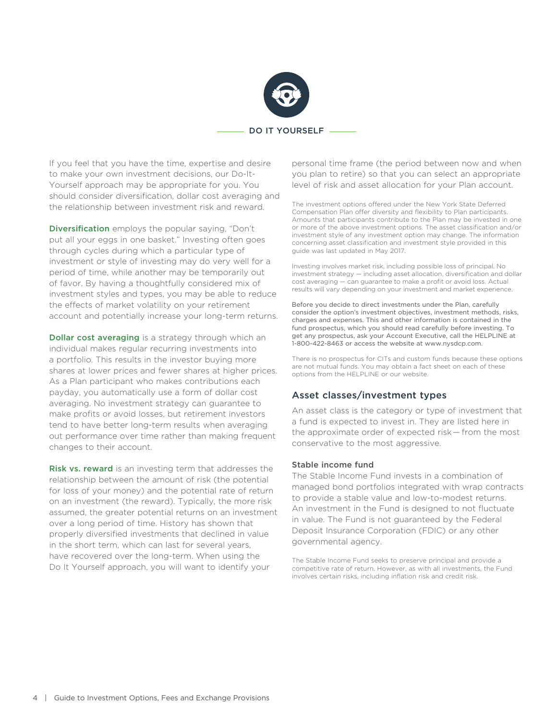

### $-DO$  IT YOURSELF  $-$

If you feel that you have the time, expertise and desire to make your own investment decisions, our Do-It-Yourself approach may be appropriate for you. You should consider diversification, dollar cost averaging and the relationship between investment risk and reward.

Diversification employs the popular saying, "Don't put all your eggs in one basket." Investing often goes through cycles during which a particular type of investment or style of investing may do very well for a period of time, while another may be temporarily out of favor. By having a thoughtfully considered mix of investment styles and types, you may be able to reduce the effects of market volatility on your retirement account and potentially increase your long-term returns.

**Dollar cost averaging** is a strategy through which an individual makes regular recurring investments into a portfolio. This results in the investor buying more shares at lower prices and fewer shares at higher prices. As a Plan participant who makes contributions each payday, you automatically use a form of dollar cost averaging. No investment strategy can guarantee to make profits or avoid losses, but retirement investors tend to have better long-term results when averaging out performance over time rather than making frequent changes to their account.

Risk vs. reward is an investing term that addresses the relationship between the amount of risk (the potential for loss of your money) and the potential rate of return on an investment (the reward). Typically, the more risk assumed, the greater potential returns on an investment over a long period of time. History has shown that properly diversified investments that declined in value in the short term, which can last for several years, have recovered over the long-term. When using the Do It Yourself approach, you will want to identify your

personal time frame (the period between now and when you plan to retire) so that you can select an appropriate level of risk and asset allocation for your Plan account.

The investment options offered under the New York State Deferred Compensation Plan offer diversity and flexibility to Plan participants. Amounts that participants contribute to the Plan may be invested in one or more of the above investment options. The asset classification and/or investment style of any investment option may change. The information concerning asset classification and investment style provided in this guide was last updated in May 2017.

Investing involves market risk, including possible loss of principal. No investment strategy — including asset allocation, diversification and dollar cost averaging — can guarantee to make a profit or avoid loss. Actual results will vary depending on your investment and market experience.

Before you decide to direct investments under the Plan, carefully consider the option's investment objectives, investment methods, risks, charges and expenses. This and other information is contained in the fund prospectus, which you should read carefully before investing. To get any prospectus, ask your Account Executive, call the HELPLINE at 1-800-422-8463 or access the website at www.nysdcp.com.

There is no prospectus for CITs and custom funds because these options are not mutual funds. You may obtain a fact sheet on each of these options from the HELPLINE or our website.

## Asset classes/investment types

An asset class is the category or type of investment that a fund is expected to invest in. They are listed here in the approximate order of expected risk— from the most conservative to the most aggressive.

### Stable income fund

The Stable Income Fund invests in a combination of managed bond portfolios integrated with wrap contracts to provide a stable value and low-to-modest returns. An investment in the Fund is designed to not fluctuate in value. The Fund is not guaranteed by the Federal Deposit Insurance Corporation (FDIC) or any other governmental agency.

The Stable Income Fund seeks to preserve principal and provide a competitive rate of return. However, as with all investments, the Fund involves certain risks, including inflation risk and credit risk.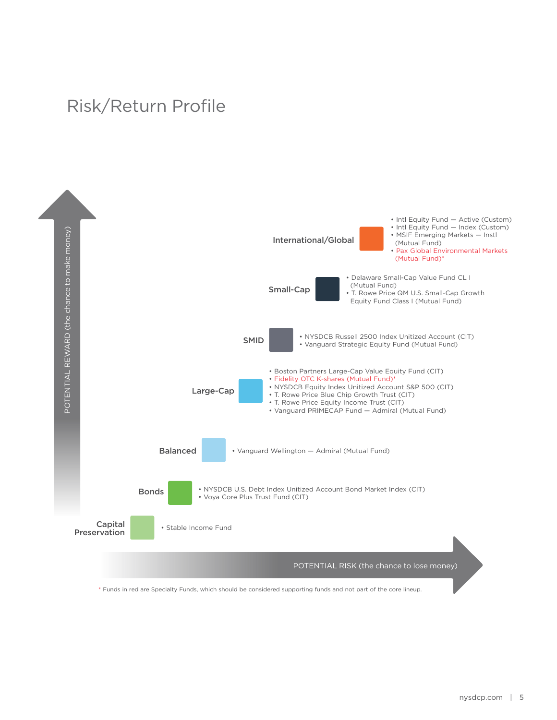## Risk/Return Profile



\* Funds in red are Specialty Funds, which should be considered supporting funds and not part of the core lineup.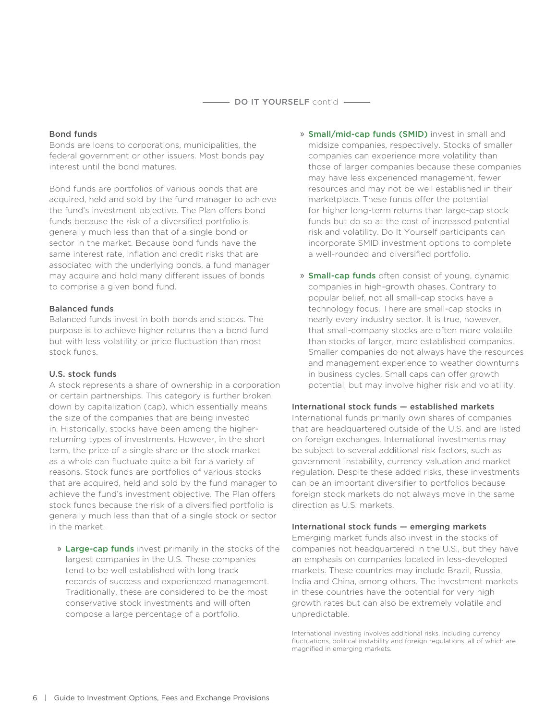### DO IT YOURSELF cont'd -

### Bond funds

Bonds are loans to corporations, municipalities, the federal government or other issuers. Most bonds pay interest until the bond matures.

Bond funds are portfolios of various bonds that are acquired, held and sold by the fund manager to achieve the fund's investment objective. The Plan offers bond funds because the risk of a diversified portfolio is generally much less than that of a single bond or sector in the market. Because bond funds have the same interest rate, inflation and credit risks that are associated with the underlying bonds, a fund manager may acquire and hold many different issues of bonds to comprise a given bond fund.

### Balanced funds

Balanced funds invest in both bonds and stocks. The purpose is to achieve higher returns than a bond fund but with less volatility or price fluctuation than most stock funds.

### U.S. stock funds

A stock represents a share of ownership in a corporation or certain partnerships. This category is further broken down by capitalization (cap), which essentially means the size of the companies that are being invested in. Historically, stocks have been among the higherreturning types of investments. However, in the short term, the price of a single share or the stock market as a whole can fluctuate quite a bit for a variety of reasons. Stock funds are portfolios of various stocks that are acquired, held and sold by the fund manager to achieve the fund's investment objective. The Plan offers stock funds because the risk of a diversified portfolio is generally much less than that of a single stock or sector in the market.

» Large-cap funds invest primarily in the stocks of the largest companies in the U.S. These companies tend to be well established with long track records of success and experienced management. Traditionally, these are considered to be the most conservative stock investments and will often compose a large percentage of a portfolio.

- » Small/mid-cap funds (SMID) invest in small and midsize companies, respectively. Stocks of smaller companies can experience more volatility than those of larger companies because these companies may have less experienced management, fewer resources and may not be well established in their marketplace. These funds offer the potential for higher long-term returns than large-cap stock funds but do so at the cost of increased potential risk and volatility. Do It Yourself participants can incorporate SMID investment options to complete a well-rounded and diversified portfolio.
- » **Small-cap funds** often consist of young, dynamic companies in high-growth phases. Contrary to popular belief, not all small-cap stocks have a technology focus. There are small-cap stocks in nearly every industry sector. It is true, however, that small-company stocks are often more volatile than stocks of larger, more established companies. Smaller companies do not always have the resources and management experience to weather downturns in business cycles. Small caps can offer growth potential, but may involve higher risk and volatility.

## International stock funds — established markets

International funds primarily own shares of companies that are headquartered outside of the U.S. and are listed on foreign exchanges. International investments may be subject to several additional risk factors, such as government instability, currency valuation and market regulation. Despite these added risks, these investments can be an important diversifier to portfolios because foreign stock markets do not always move in the same direction as U.S. markets.

### International stock funds — emerging markets

Emerging market funds also invest in the stocks of companies not headquartered in the U.S., but they have an emphasis on companies located in less-developed markets. These countries may include Brazil, Russia, India and China, among others. The investment markets in these countries have the potential for very high growth rates but can also be extremely volatile and unpredictable.

International investing involves additional risks, including currency fluctuations, political instability and foreign regulations, all of which are magnified in emerging markets.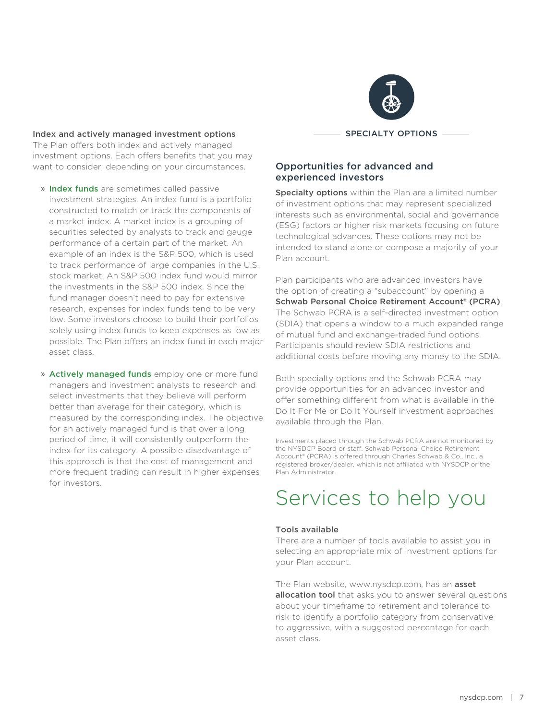

### Index and actively managed investment options

The Plan offers both index and actively managed investment options. Each offers benefits that you may want to consider, depending on your circumstances.

- » Index funds are sometimes called passive investment strategies. An index fund is a portfolio constructed to match or track the components of a market index. A market index is a grouping of securities selected by analysts to track and gauge performance of a certain part of the market. An example of an index is the S&P 500, which is used to track performance of large companies in the U.S. stock market. An S&P 500 index fund would mirror the investments in the S&P 500 index. Since the fund manager doesn't need to pay for extensive research, expenses for index funds tend to be very low. Some investors choose to build their portfolios solely using index funds to keep expenses as low as possible. The Plan offers an index fund in each major asset class.
- » Actively managed funds employ one or more fund managers and investment analysts to research and select investments that they believe will perform better than average for their category, which is measured by the corresponding index. The objective for an actively managed fund is that over a long period of time, it will consistently outperform the index for its category. A possible disadvantage of this approach is that the cost of management and more frequent trading can result in higher expenses for investors.

## Opportunities for advanced and experienced investors

Specialty options within the Plan are a limited number of investment options that may represent specialized interests such as environmental, social and governance (ESG) factors or higher risk markets focusing on future technological advances. These options may not be intended to stand alone or compose a majority of your Plan account.

Plan participants who are advanced investors have the option of creating a "subaccount" by opening a Schwab Personal Choice Retirement Account® (PCRA). The Schwab PCRA is a self-directed investment option (SDIA) that opens a window to a much expanded range of mutual fund and exchange-traded fund options. Participants should review SDIA restrictions and additional costs before moving any money to the SDIA.

Both specialty options and the Schwab PCRA may provide opportunities for an advanced investor and offer something different from what is available in the Do It For Me or Do It Yourself investment approaches available through the Plan.

Investments placed through the Schwab PCRA are not monitored by the NYSDCP Board or staff. Schwab Personal Choice Retirement Account® (PCRA) is offered through Charles Schwab & Co., Inc., a registered broker/dealer, which is not affiliated with NYSDCP or the Plan Administrator.

# Services to help you

### Tools available

There are a number of tools available to assist you in selecting an appropriate mix of investment options for your Plan account.

The Plan website, www.nysdcp.com, has an asset allocation tool that asks you to answer several questions about your timeframe to retirement and tolerance to risk to identify a portfolio category from conservative to aggressive, with a suggested percentage for each asset class.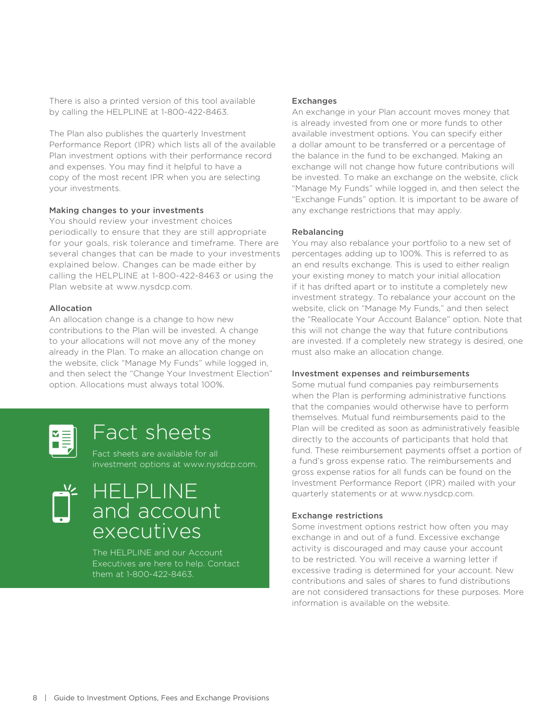There is also a printed version of this tool available by calling the HELPLINE at 1-800-422-8463.

The Plan also publishes the quarterly Investment Performance Report (IPR) which lists all of the available Plan investment options with their performance record and expenses. You may find it helpful to have a copy of the most recent IPR when you are selecting your investments.

### Making changes to your investments

You should review your investment choices periodically to ensure that they are still appropriate for your goals, risk tolerance and timeframe. There are several changes that can be made to your investments explained below. Changes can be made either by calling the HELPLINE at 1-800-422-8463 or using the Plan website at www.nysdcp.com.

### Allocation

An allocation change is a change to how new contributions to the Plan will be invested. A change to your allocations will not move any of the money already in the Plan. To make an allocation change on the website, click "Manage My Funds" while logged in, and then select the "Change Your Investment Election" option. Allocations must always total 100%.



# Fact sheets

Fact sheets are available for all investment options at www.nysdcp.com.

# HELPLINE and account executives

The HELPLINE and our Account Executives are here to help. Contact them at 1-800-422-8463.

### Exchanges

An exchange in your Plan account moves money that is already invested from one or more funds to other available investment options. You can specify either a dollar amount to be transferred or a percentage of the balance in the fund to be exchanged. Making an exchange will not change how future contributions will be invested. To make an exchange on the website, click "Manage My Funds" while logged in, and then select the "Exchange Funds" option. It is important to be aware of any exchange restrictions that may apply.

### Rebalancing

You may also rebalance your portfolio to a new set of percentages adding up to 100%. This is referred to as an end results exchange. This is used to either realign your existing money to match your initial allocation if it has drifted apart or to institute a completely new investment strategy. To rebalance your account on the website, click on "Manage My Funds," and then select the "Reallocate Your Account Balance" option. Note that this will not change the way that future contributions are invested. If a completely new strategy is desired, one must also make an allocation change.

### Investment expenses and reimbursements

Some mutual fund companies pay reimbursements when the Plan is performing administrative functions that the companies would otherwise have to perform themselves. Mutual fund reimbursements paid to the Plan will be credited as soon as administratively feasible directly to the accounts of participants that hold that fund. These reimbursement payments offset a portion of a fund's gross expense ratio. The reimbursements and gross expense ratios for all funds can be found on the Investment Performance Report (IPR) mailed with your quarterly statements or at www.nysdcp.com.

### Exchange restrictions

Some investment options restrict how often you may exchange in and out of a fund. Excessive exchange activity is discouraged and may cause your account to be restricted. You will receive a warning letter if excessive trading is determined for your account. New contributions and sales of shares to fund distributions are not considered transactions for these purposes. More information is available on the website.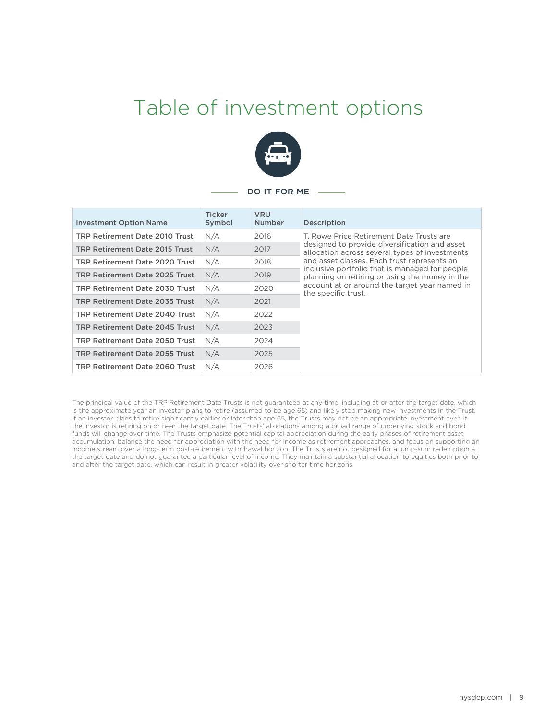# Table of investment options



#### DO IT FOR ME

| <b>Investment Option Name</b>  | <b>Ticker</b><br>Symbol | <b>VRU</b><br><b>Number</b> | Description                                                                                                                                                                                                             |
|--------------------------------|-------------------------|-----------------------------|-------------------------------------------------------------------------------------------------------------------------------------------------------------------------------------------------------------------------|
| TRP Retirement Date 2010 Trust | N/A                     | 2016                        | T. Rowe Price Retirement Date Trusts are                                                                                                                                                                                |
| TRP Retirement Date 2015 Trust | N/A                     | 2017                        | designed to provide diversification and asset<br>allocation across several types of investments                                                                                                                         |
| TRP Retirement Date 2020 Trust | N/A                     | 2018                        | and asset classes. Each trust represents an<br>inclusive portfolio that is managed for people<br>planning on retiring or using the money in the<br>account at or around the target year named in<br>the specific trust. |
| TRP Retirement Date 2025 Trust | N/A                     | 2019                        |                                                                                                                                                                                                                         |
| TRP Retirement Date 2030 Trust | N/A                     | 2020                        |                                                                                                                                                                                                                         |
| TRP Retirement Date 2035 Trust | N/A                     | 2021                        |                                                                                                                                                                                                                         |
| TRP Retirement Date 2040 Trust | N/A                     | 2022                        |                                                                                                                                                                                                                         |
| TRP Retirement Date 2045 Trust | N/A                     | 2023                        |                                                                                                                                                                                                                         |
| TRP Retirement Date 2050 Trust | N/A                     | 2024                        |                                                                                                                                                                                                                         |
| TRP Retirement Date 2055 Trust | N/A                     | 2025                        |                                                                                                                                                                                                                         |
| TRP Retirement Date 2060 Trust | N/A                     | 2026                        |                                                                                                                                                                                                                         |

The principal value of the TRP Retirement Date Trusts is not guaranteed at any time, including at or after the target date, which is the approximate year an investor plans to retire (assumed to be age 65) and likely stop making new investments in the Trust. If an investor plans to retire significantly earlier or later than age 65, the Trusts may not be an appropriate investment even if the investor is retiring on or near the target date. The Trusts' allocations among a broad range of underlying stock and bond funds will change over time. The Trusts emphasize potential capital appreciation during the early phases of retirement asset accumulation, balance the need for appreciation with the need for income as retirement approaches, and focus on supporting an income stream over a long-term post-retirement withdrawal horizon. The Trusts are not designed for a lump-sum redemption at the target date and do not guarantee a particular level of income. They maintain a substantial allocation to equities both prior to and after the target date, which can result in greater volatility over shorter time horizons.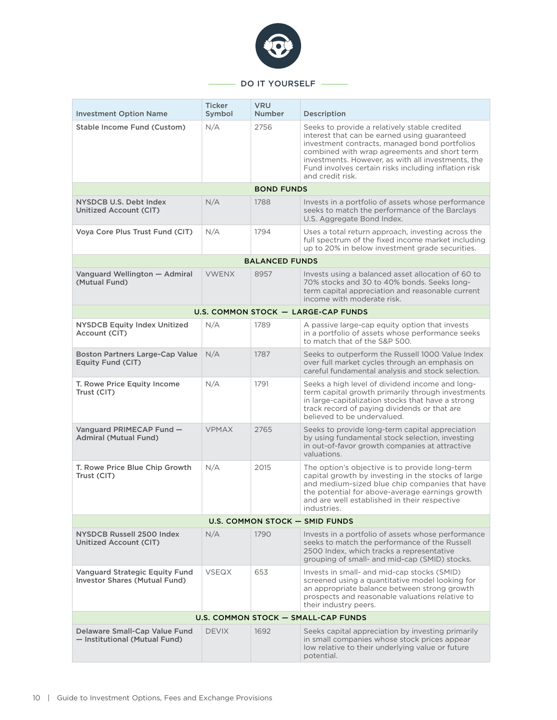

### - DO IT YOURSELF

| <b>Investment Option Name</b>                                                 | <b>Ticker</b><br>Symbol | <b>VRU</b><br><b>Number</b> | Description                                                                                                                                                                                                                                                                                                                      |  |  |
|-------------------------------------------------------------------------------|-------------------------|-----------------------------|----------------------------------------------------------------------------------------------------------------------------------------------------------------------------------------------------------------------------------------------------------------------------------------------------------------------------------|--|--|
| Stable Income Fund (Custom)                                                   | N/A                     | 2756                        | Seeks to provide a relatively stable credited<br>interest that can be earned using guaranteed<br>investment contracts, managed bond portfolios<br>combined with wrap agreements and short term<br>investments. However, as with all investments, the<br>Fund involves certain risks including inflation risk<br>and credit risk. |  |  |
|                                                                               |                         | <b>BOND FUNDS</b>           |                                                                                                                                                                                                                                                                                                                                  |  |  |
| NYSDCB U.S. Debt Index<br>Unitized Account (CIT)                              | N/A                     | 1788                        | Invests in a portfolio of assets whose performance<br>seeks to match the performance of the Barclays<br>U.S. Aggregate Bond Index.                                                                                                                                                                                               |  |  |
| Voya Core Plus Trust Fund (CIT)                                               | N/A                     | 1794                        | Uses a total return approach, investing across the<br>full spectrum of the fixed income market including<br>up to 20% in below investment grade securities.                                                                                                                                                                      |  |  |
|                                                                               |                         | <b>BALANCED FUNDS</b>       |                                                                                                                                                                                                                                                                                                                                  |  |  |
| Vanguard Wellington - Admiral<br>(Mutual Fund)                                | <b>VWENX</b>            | 8957                        | Invests using a balanced asset allocation of 60 to<br>70% stocks and 30 to 40% bonds. Seeks long-<br>term capital appreciation and reasonable current<br>income with moderate risk.                                                                                                                                              |  |  |
| U.S. COMMON STOCK - LARGE-CAP FUNDS                                           |                         |                             |                                                                                                                                                                                                                                                                                                                                  |  |  |
| <b>NYSDCB Equity Index Unitized</b><br>Account (CIT)                          | N/A                     | 1789                        | A passive large-cap equity option that invests<br>in a portfolio of assets whose performance seeks<br>to match that of the S&P 500.                                                                                                                                                                                              |  |  |
| <b>Boston Partners Large-Cap Value</b><br>Equity Fund (CIT)                   | N/A                     | 1787                        | Seeks to outperform the Russell 1000 Value Index<br>over full market cycles through an emphasis on<br>careful fundamental analysis and stock selection.                                                                                                                                                                          |  |  |
| T. Rowe Price Equity Income<br>Trust (CIT)                                    | N/A                     | 1791                        | Seeks a high level of dividend income and long-<br>term capital growth primarily through investments<br>in large-capitalization stocks that have a strong<br>track record of paying dividends or that are<br>believed to be undervalued.                                                                                         |  |  |
| Vanguard PRIMECAP Fund -<br><b>Admiral (Mutual Fund)</b>                      | <b>VPMAX</b>            | 2765                        | Seeks to provide long-term capital appreciation<br>by using fundamental stock selection, investing<br>in out-of-favor growth companies at attractive<br>valuations.                                                                                                                                                              |  |  |
| T. Rowe Price Blue Chip Growth<br>Trust (CIT)                                 | N/A                     | 2015                        | The option's objective is to provide long-term<br>capital growth by investing in the stocks of large<br>and medium-sized blue chip companies that have<br>the potential for above-average earnings growth<br>and are well established in their respective<br>industries.                                                         |  |  |
|                                                                               |                         |                             | U.S. COMMON STOCK - SMID FUNDS                                                                                                                                                                                                                                                                                                   |  |  |
| NYSDCB Russell 2500 Index<br>Unitized Account (CIT)                           | N/A                     | 1790                        | Invests in a portfolio of assets whose performance<br>seeks to match the performance of the Russell<br>2500 Index, which tracks a representative<br>grouping of small- and mid-cap (SMID) stocks.                                                                                                                                |  |  |
| <b>Vanguard Strategic Equity Fund</b><br><b>Investor Shares (Mutual Fund)</b> | <b>VSEQX</b>            | 653                         | Invests in small- and mid-cap stocks (SMID)<br>screened using a quantitative model looking for<br>an appropriate balance between strong growth<br>prospects and reasonable valuations relative to<br>their industry peers.                                                                                                       |  |  |
| U.S. COMMON STOCK - SMALL-CAP FUNDS                                           |                         |                             |                                                                                                                                                                                                                                                                                                                                  |  |  |
| Delaware Small-Cap Value Fund<br>- Institutional (Mutual Fund)                | <b>DEVIX</b>            | 1692                        | Seeks capital appreciation by investing primarily<br>in small companies whose stock prices appear<br>low relative to their underlying value or future<br>potential.                                                                                                                                                              |  |  |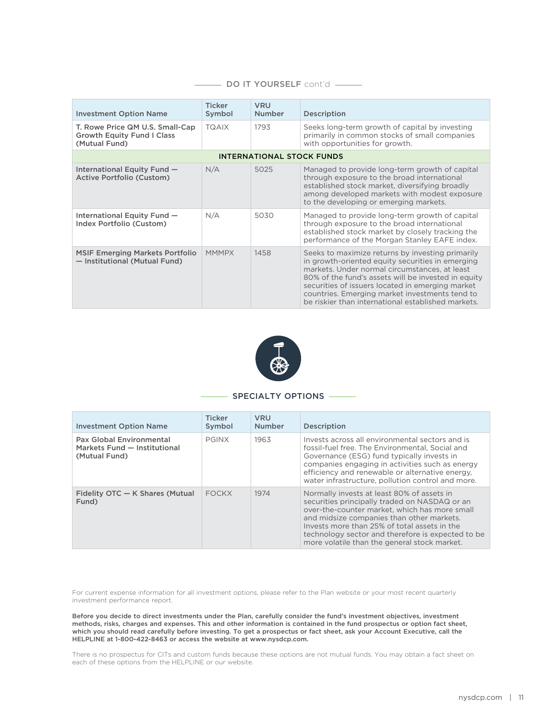| <b>Investment Option Name</b>                                                         | <b>Ticker</b><br>Symbol | <b>VRU</b><br><b>Number</b> | Description                                                                                                                                                                                                                                                                                                                                                              |  |  |
|---------------------------------------------------------------------------------------|-------------------------|-----------------------------|--------------------------------------------------------------------------------------------------------------------------------------------------------------------------------------------------------------------------------------------------------------------------------------------------------------------------------------------------------------------------|--|--|
| T. Rowe Price QM U.S. Small-Cap<br><b>Growth Equity Fund I Class</b><br>(Mutual Fund) | <b>TQAIX</b>            | 1793                        | Seeks long-term growth of capital by investing<br>primarily in common stocks of small companies<br>with opportunities for growth.                                                                                                                                                                                                                                        |  |  |
| <b>INTERNATIONAL STOCK FUNDS</b>                                                      |                         |                             |                                                                                                                                                                                                                                                                                                                                                                          |  |  |
| International Equity Fund -<br>Active Portfolio (Custom)                              | N/A                     | 5025                        | Managed to provide long-term growth of capital<br>through exposure to the broad international<br>established stock market, diversifying broadly<br>among developed markets with modest exposure<br>to the developing or emerging markets.                                                                                                                                |  |  |
| International Equity Fund -<br>Index Portfolio (Custom)                               | N/A                     | 5030                        | Managed to provide long-term growth of capital<br>through exposure to the broad international<br>established stock market by closely tracking the<br>performance of the Morgan Stanley EAFE index.                                                                                                                                                                       |  |  |
| <b>MSIF Emerging Markets Portfolio</b><br>- Institutional (Mutual Fund)               | <b>MMMPX</b>            | 1458                        | Seeks to maximize returns by investing primarily<br>in growth-oriented equity securities in emerging<br>markets. Under normal circumstances, at least<br>80% of the fund's assets will be invested in equity<br>securities of issuers located in emerging market<br>countries. Emerging market investments tend to<br>be riskier than international established markets. |  |  |

### DO IT YOURSELF cont'd -



#### - SPECIALTY OPTIONS -

| <b>Investment Option Name</b>                                             | <b>Ticker</b><br>Symbol | <b>VRU</b><br>Number | Description                                                                                                                                                                                                                                                                                                                                    |
|---------------------------------------------------------------------------|-------------------------|----------------------|------------------------------------------------------------------------------------------------------------------------------------------------------------------------------------------------------------------------------------------------------------------------------------------------------------------------------------------------|
| Pax Global Environmental<br>Markets Fund - Institutional<br>(Mutual Fund) | <b>PGINX</b>            | 1963                 | Invests across all environmental sectors and is<br>fossil-fuel free. The Environmental, Social and<br>Governance (ESG) fund typically invests in<br>companies engaging in activities such as energy<br>efficiency and renewable or alternative energy.<br>water infrastructure, pollution control and more.                                    |
| Fidelity OTC - K Shares (Mutual<br>Fund)                                  | <b>FOCKX</b>            | 1974                 | Normally invests at least 80% of assets in<br>securities principally traded on NASDAQ or an<br>over-the-counter market, which has more small<br>and midsize companies than other markets.<br>Invests more than 25% of total assets in the<br>technology sector and therefore is expected to be<br>more volatile than the general stock market. |

For current expense information for all investment options, please refer to the Plan website or your most recent quarterly investment performance report.

Before you decide to direct investments under the Plan, carefully consider the fund's investment objectives, investment methods, risks, charges and expenses. This and other information is contained in the fund prospectus or option fact sheet, which you should read carefully before investing. To get a prospectus or fact sheet, ask your Account Executive, call the HELPLINE at 1-800-422-8463 or access the website at www.nysdcp.com.

There is no prospectus for CITs and custom funds because these options are not mutual funds. You may obtain a fact sheet on each of these options from the HELPLINE or our website.